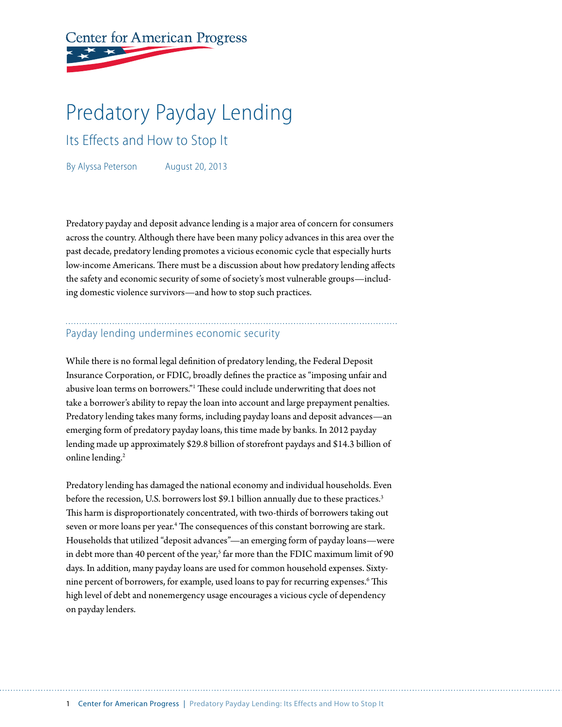# **Center for American Progress**

# Predatory Payday Lending

Its Effects and How to Stop It

By Alyssa Peterson August 20, 2013

Predatory payday and deposit advance lending is a major area of concern for consumers across the country. Although there have been many policy advances in this area over the past decade, predatory lending promotes a vicious economic cycle that especially hurts low-income Americans. There must be a discussion about how predatory lending affects the safety and economic security of some of society's most vulnerable groups—including domestic violence survivors—and how to stop such practices.

# Payday lending undermines economic security

While there is no formal legal definition of predatory lending, the Federal Deposit Insurance Corporation, or FDIC, broadly defines the practice as "imposing unfair and abusive loan terms on borrowers."1 These could include underwriting that does not take a borrower's ability to repay the loan into account and large prepayment penalties. Predatory lending takes many forms, including payday loans and deposit advances—an emerging form of predatory payday loans, this time made by banks. In 2012 payday lending made up approximately \$29.8 billion of storefront paydays and \$14.3 billion of online lending.<sup>2</sup>

Predatory lending has damaged the national economy and individual households. Even before the recession, U.S. borrowers lost \$9.1 billion annually due to these practices.<sup>3</sup> This harm is disproportionately concentrated, with two-thirds of borrowers taking out seven or more loans per year.<sup>4</sup> The consequences of this constant borrowing are stark. Households that utilized "deposit advances"—an emerging form of payday loans—were in debt more than 40 percent of the year, $^{\rm 5}$  far more than the FDIC maximum limit of 90 days. In addition, many payday loans are used for common household expenses. Sixtynine percent of borrowers, for example, used loans to pay for recurring expenses.6 This high level of debt and nonemergency usage encourages a vicious cycle of dependency on payday lenders.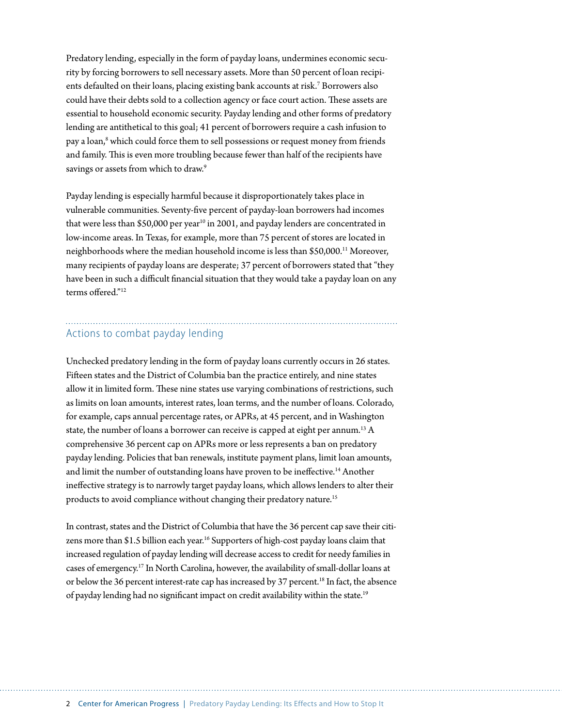Predatory lending, especially in the form of payday loans, undermines economic security by forcing borrowers to sell necessary assets. More than 50 percent of loan recipients defaulted on their loans, placing existing bank accounts at risk.7 Borrowers also could have their debts sold to a collection agency or face court action. These assets are essential to household economic security. Payday lending and other forms of predatory lending are antithetical to this goal; 41 percent of borrowers require a cash infusion to pay a loan,<sup>8</sup> which could force them to sell possessions or request money from friends and family. This is even more troubling because fewer than half of the recipients have savings or assets from which to draw.<sup>9</sup>

Payday lending is especially harmful because it disproportionately takes place in vulnerable communities. Seventy-five percent of payday-loan borrowers had incomes that were less than \$50,000 per year<sup>10</sup> in 2001, and payday lenders are concentrated in low-income areas. In Texas, for example, more than 75 percent of stores are located in neighborhoods where the median household income is less than \$50,000.11 Moreover, many recipients of payday loans are desperate; 37 percent of borrowers stated that "they have been in such a difficult financial situation that they would take a payday loan on any terms offered."12

#### Actions to combat payday lending

Unchecked predatory lending in the form of payday loans currently occurs in 26 states. Fifteen states and the District of Columbia ban the practice entirely, and nine states allow it in limited form. These nine states use varying combinations of restrictions, such as limits on loan amounts, interest rates, loan terms, and the number of loans. Colorado, for example, caps annual percentage rates, or APRs, at 45 percent, and in Washington state, the number of loans a borrower can receive is capped at eight per annum.<sup>13</sup> A comprehensive 36 percent cap on APRs more or less represents a ban on predatory payday lending. Policies that ban renewals, institute payment plans, limit loan amounts, and limit the number of outstanding loans have proven to be ineffective.<sup>14</sup> Another ineffective strategy is to narrowly target payday loans, which allows lenders to alter their products to avoid compliance without changing their predatory nature.<sup>15</sup>

In contrast, states and the District of Columbia that have the 36 percent cap save their citizens more than \$1.5 billion each year.<sup>16</sup> Supporters of high-cost payday loans claim that increased regulation of payday lending will decrease access to credit for needy families in cases of emergency.17 In North Carolina, however, the availability of small-dollar loans at or below the 36 percent interest-rate cap has increased by 37 percent.<sup>18</sup> In fact, the absence of payday lending had no significant impact on credit availability within the state.19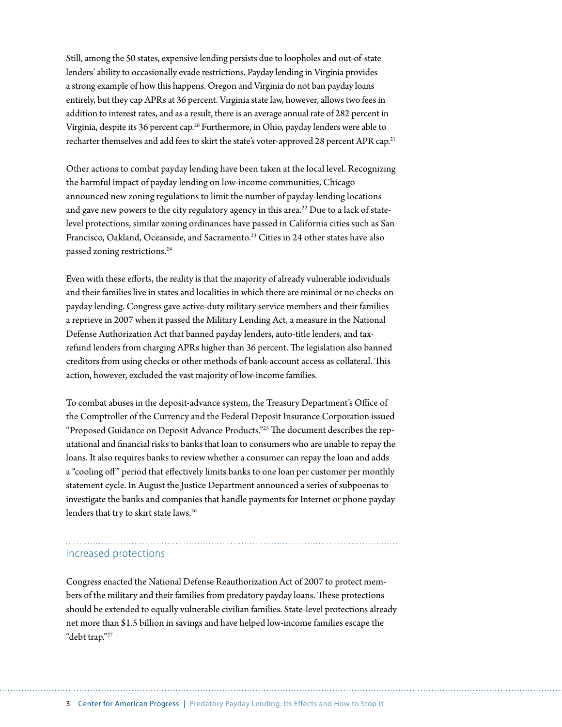Still, among the 50 states, expensive lending persists due to loopholes and out-of-state lenders' ability to occasionally evade restrictions. Payday lending in Virginia provides a strong example of how this happens. Oregon and Virginia do not ban payday loans entirely, but they cap APRs at 36 percent. Virginia state law, however, allows two fees in addition to interest rates, and as a result, there is an average annual rate of 282 percent in Virginia, despite its 36 percent cap.<sup>20</sup> Furthermore, in Ohio, payday lenders were able to recharter themselves and add fees to skirt the state's voter-approved 28 percent APR cap.<sup>21</sup>

Other actions to combat payday lending have been taken at the local level. Recognizing the harmful impact of payday lending on low-income communities, Chicago announced new zoning regulations to limit the number of payday-lending locations and gave new powers to the city regulatory agency in this area.<sup>22</sup> Due to a lack of statelevel protections, similar zoning ordinances have passed in California cities such as San Francisco, Oakland, Oceanside, and Sacramento.<sup>23</sup> Cities in 24 other states have also passed zoning restrictions.24

Even with these efforts, the reality is that the majority of already vulnerable individuals and their families live in states and localities in which there are minimal or no checks on payday lending. Congress gave active-duty military service members and their families a reprieve in 2007 when it passed the Military Lending Act, a measure in the National Defense Authorization Act that banned payday lenders, auto-title lenders, and taxrefund lenders from charging APRs higher than 36 percent. The legislation also banned creditors from using checks or other methods of bank-account access as collateral. This action, however, excluded the vast majority of low-income families.

To combat abuses in the deposit-advance system, the Treasury Department's Office of the Comptroller of the Currency and the Federal Deposit Insurance Corporation issued "Proposed Guidance on Deposit Advance Products."25 The document describes the reputational and financial risks to banks that loan to consumers who are unable to repay the loans. It also requires banks to review whether a consumer can repay the loan and adds a "cooling off" period that effectively limits banks to one loan per customer per monthly statement cycle. In August the Justice Department announced a series of subpoenas to investigate the banks and companies that handle payments for Internet or phone payday lenders that try to skirt state laws.<sup>26</sup>

## Increased protections

Congress enacted the National Defense Reauthorization Act of 2007 to protect members of the military and their families from predatory payday loans. These protections should be extended to equally vulnerable civilian families. State-level protections already net more than \$1.5 billion in savings and have helped low-income families escape the "debt trap."27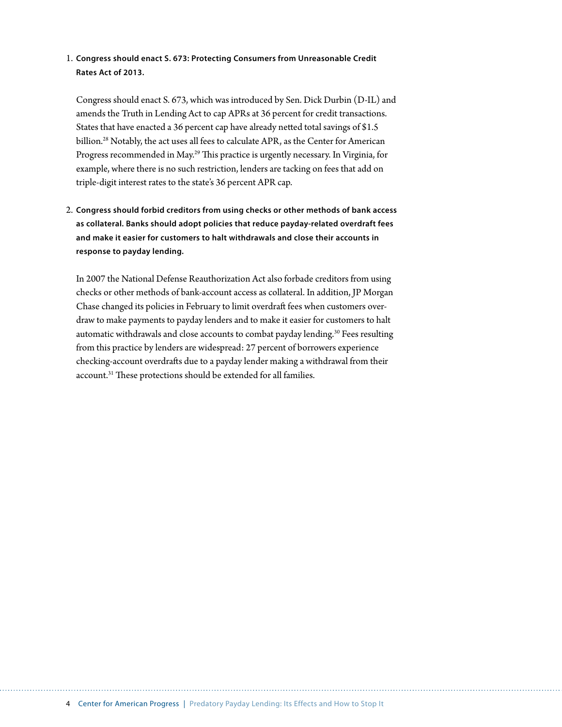#### 1. **Congress should enact S. 673: Protecting Consumers from Unreasonable Credit Rates Act of 2013.**

Congress should enact S. 673, which was introduced by Sen. Dick Durbin (D-IL) and amends the Truth in Lending Act to cap APRs at 36 percent for credit transactions. States that have enacted a 36 percent cap have already netted total savings of \$1.5 billion.<sup>28</sup> Notably, the act uses all fees to calculate APR, as the Center for American Progress recommended in May.29 This practice is urgently necessary. In Virginia, for example, where there is no such restriction, lenders are tacking on fees that add on triple-digit interest rates to the state's 36 percent APR cap.

2. **Congress should forbid creditors from using checks or other methods of bank access as collateral. Banks should adopt policies that reduce payday-related overdraft fees and make it easier for customers to halt withdrawals and close their accounts in response to payday lending.**

In 2007 the National Defense Reauthorization Act also forbade creditors from using checks or other methods of bank-account access as collateral. In addition, JP Morgan Chase changed its policies in February to limit overdraft fees when customers overdraw to make payments to payday lenders and to make it easier for customers to halt automatic withdrawals and close accounts to combat payday lending.<sup>30</sup> Fees resulting from this practice by lenders are widespread: 27 percent of borrowers experience checking-account overdrafts due to a payday lender making a withdrawal from their account.31 These protections should be extended for all families.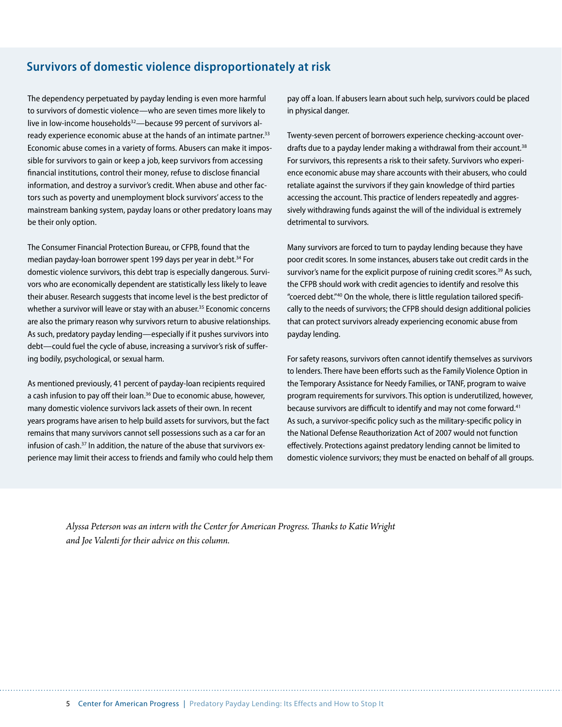### **Survivors of domestic violence disproportionately at risk**

The dependency perpetuated by payday lending is even more harmful to survivors of domestic violence—who are seven times more likely to live in low-income households<sup>32</sup>—because 99 percent of survivors already experience economic abuse at the hands of an intimate partner.<sup>33</sup> Economic abuse comes in a variety of forms. Abusers can make it impossible for survivors to gain or keep a job, keep survivors from accessing financial institutions, control their money, refuse to disclose financial information, and destroy a survivor's credit. When abuse and other factors such as poverty and unemployment block survivors' access to the mainstream banking system, payday loans or other predatory loans may be their only option.

The Consumer Financial Protection Bureau, or CFPB, found that the median payday-loan borrower spent 199 days per year in debt.<sup>34</sup> For domestic violence survivors, this debt trap is especially dangerous. Survivors who are economically dependent are statistically less likely to leave their abuser. Research suggests that income level is the best predictor of whether a survivor will leave or stay with an abuser.<sup>35</sup> Economic concerns are also the primary reason why survivors return to abusive relationships. As such, predatory payday lending—especially if it pushes survivors into debt—could fuel the cycle of abuse, increasing a survivor's risk of suffering bodily, psychological, or sexual harm.

As mentioned previously, 41 percent of payday-loan recipients required a cash infusion to pay off their loan.<sup>36</sup> Due to economic abuse, however, many domestic violence survivors lack assets of their own. In recent years programs have arisen to help build assets for survivors, but the fact remains that many survivors cannot sell possessions such as a car for an infusion of cash.37 In addition, the nature of the abuse that survivors experience may limit their access to friends and family who could help them pay off a loan. If abusers learn about such help, survivors could be placed in physical danger.

Twenty-seven percent of borrowers experience checking-account overdrafts due to a payday lender making a withdrawal from their account.<sup>38</sup> For survivors, this represents a risk to their safety. Survivors who experience economic abuse may share accounts with their abusers, who could retaliate against the survivors if they gain knowledge of third parties accessing the account. This practice of lenders repeatedly and aggressively withdrawing funds against the will of the individual is extremely detrimental to survivors.

Many survivors are forced to turn to payday lending because they have poor credit scores. In some instances, abusers take out credit cards in the survivor's name for the explicit purpose of ruining credit scores.<sup>39</sup> As such, the CFPB should work with credit agencies to identify and resolve this "coerced debt."40 On the whole, there is little regulation tailored specifically to the needs of survivors; the CFPB should design additional policies that can protect survivors already experiencing economic abuse from payday lending.

For safety reasons, survivors often cannot identify themselves as survivors to lenders. There have been efforts such as the Family Violence Option in the Temporary Assistance for Needy Families, or TANF, program to waive program requirements for survivors. This option is underutilized, however, because survivors are difficult to identify and may not come forward.<sup>41</sup> As such, a survivor-specific policy such as the military-specific policy in the National Defense Reauthorization Act of 2007 would not function effectively. Protections against predatory lending cannot be limited to domestic violence survivors; they must be enacted on behalf of all groups.

*Alyssa Peterson was an intern with the Center for American Progress. Thanks to Katie Wright and Joe Valenti for their advice on this column.*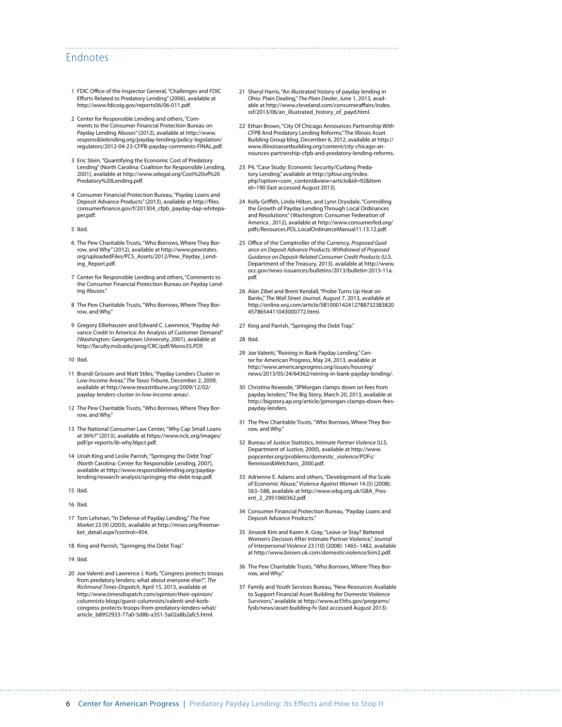#### Endnotes

- 1 FDIC Office of the Inspector General, "Challenges and FDIC Efforts Related to Predatory Lending" (2006), available at [http://www.fdicoig.gov/reports06/06-011.pdf.](http://www.fdicoig.gov/reports06/06-011.pdf)
- 2 Center for Responsible Lending and others, "Comments to the Consumer Financial Protection Bureau on Payday Lending Abuses" (2012), available at [http://www.](http://www.responsiblelending.org/payday-lending/policy-legislation/regulators/2012-04-23-CFPB-payday-comments-FINAL.pdf) [responsiblelending.org/payday-lending/policy-legislation/](http://www.responsiblelending.org/payday-lending/policy-legislation/regulators/2012-04-23-CFPB-payday-comments-FINAL.pdf) [regulators/2012-04-23-CFPB-payday-comments-FINAL.pdf](http://www.responsiblelending.org/payday-lending/policy-legislation/regulators/2012-04-23-CFPB-payday-comments-FINAL.pdf).
- 3 Eric Stein, "Quantifying the Economic Cost of Predatory Lending" (North Carolina: Coalition for Responsible Lending, 2001), available at [http://www.selegal.org/Cost%20of%20](http://www.selegal.org/Cost%20of%20Predatory%20Lending.pdf) [Predatory%20Lending.pdf.](http://www.selegal.org/Cost%20of%20Predatory%20Lending.pdf)
- 4 Consumer Financial Protection Bureau, "Payday Loans and Deposit Advance Products" (2013), available at [http://files.](http://files.consumerfinance.gov/f/201304_cfpb_payday-dap-whitepaper.pdf) [consumerfinance.gov/f/201304\\_cfpb\\_payday-dap-whitepa](http://files.consumerfinance.gov/f/201304_cfpb_payday-dap-whitepaper.pdf)[per.pdf](http://files.consumerfinance.gov/f/201304_cfpb_payday-dap-whitepaper.pdf).
- 5 Ibid.
- 6 The Pew Charitable Trusts, "Who Borrows, Where They Borrow, and Why" (2012), available at [http://www.pewstates.](http://www.pewstates.org/uploadedFiles/PCS_Assets/2012/Pew_Payday_Lending_Report.pdf) [org/uploadedFiles/PCS\\_Assets/2012/Pew\\_Payday\\_Lend](http://www.pewstates.org/uploadedFiles/PCS_Assets/2012/Pew_Payday_Lending_Report.pdf)[ing\\_Report.pdf.](http://www.pewstates.org/uploadedFiles/PCS_Assets/2012/Pew_Payday_Lending_Report.pdf)
- 7 Center for Responsible Lending and others, "Comments to the Consumer Financial Protection Bureau on Payday Lending Abuses."
- 8 The Pew Charitable Trusts, "Who Borrows, Where They Borrow, and Why."
- 9 Gregory Elliehausen and Edward C. Lawrence, "Payday Advance Credit In America: An Analysis of Customer Demand" (Washington: Georgetown University, 2001), available at [http://faculty.msb.edu/prog/CRC/pdf/Mono35.PDF.](http://faculty.msb.edu/prog/CRC/pdf/Mono35.PDF)
- 10 Ibid.
- 11 Brandi Grissom and Matt Stiles, "Payday Lenders Cluster in Low-Income Areas," *The Texas Tribune*, December 2, 2009, available at [http://www.texastribune.org/2009/12/02/](http://www.texastribune.org/2009/12/02/payday-lenders-cluster-in-low-income-areas/) [payday-lenders-cluster-in-low-income-areas/](http://www.texastribune.org/2009/12/02/payday-lenders-cluster-in-low-income-areas/).
- 12 The Pew Charitable Trusts, "Who Borrows, Where They Borrow, and Why."
- 13 The National Consumer Law Center, "Why Cap Small Loans at 36%?" (2013), available at [https://www.nclc.org/images/](https://www.nclc.org/images/pdf/pr-reports/ib-why36pct.pdf) [pdf/pr-reports/ib-why36pct.pdf.](https://www.nclc.org/images/pdf/pr-reports/ib-why36pct.pdf)
- 14 Uriah King and Leslie Parrish, "Springing the Debt Trap" (North Carolina: Center for Responsible Lending, 2007), available at [http://www.responsiblelending.org/payday](http://www.responsiblelending.org/payday-lending/research-analysis/springing-the-debt-trap.pdf)[lending/research-analysis/springing-the-debt-trap.pdf.](http://www.responsiblelending.org/payday-lending/research-analysis/springing-the-debt-trap.pdf)
- 15 Ibid.
- 16 Ibid.
- 17 Tom Lehman, "In Defense of Payday Lending," *The Free Market* 23 (9) (2003), available at [http://mises.org/freemar](http://mises.org/freemarket_detail.aspx?control=454)[ket\\_detail.aspx?control=454](http://mises.org/freemarket_detail.aspx?control=454).
- 18 King and Parrish, "Springing the Debt Trap."
- 19 Ibid.
- 20 Joe Valenti and Lawrence J. Korb, "Congress protects troops from predatory lenders; what about everyone else?", *The Richmond Times-Dispatch*, April 15, 2013, available at [http://www.timesdispatch.com/opinion/their-opinion/](http://www.timesdispatch.com/opinion/their-opinion/columnists-blogs/guest-columnists/valenti-and-korb-congress-protects-troops-from-predatory-lenders-what/article_b8952933-77a0-5d8b-a351-5a02a8b2afc5.html) [columnists-blogs/guest-columnists/valenti-and-korb](http://www.timesdispatch.com/opinion/their-opinion/columnists-blogs/guest-columnists/valenti-and-korb-congress-protects-troops-from-predatory-lenders-what/article_b8952933-77a0-5d8b-a351-5a02a8b2afc5.html)[congress-protects-troops-from-predatory-lenders-what/](http://www.timesdispatch.com/opinion/their-opinion/columnists-blogs/guest-columnists/valenti-and-korb-congress-protects-troops-from-predatory-lenders-what/article_b8952933-77a0-5d8b-a351-5a02a8b2afc5.html) [article\\_b8952933-77a0-5d8b-a351-5a02a8b2afc5.html](http://www.timesdispatch.com/opinion/their-opinion/columnists-blogs/guest-columnists/valenti-and-korb-congress-protects-troops-from-predatory-lenders-what/article_b8952933-77a0-5d8b-a351-5a02a8b2afc5.html).
- 21 Sheryl Harris, "An illustrated history of payday lending in Ohio: Plain Dealing," *The Plain Dealer*, June 1, 2013, available at [http://www.cleveland.com/consumeraffairs/index.](http://www.cleveland.com/consumeraffairs/index.ssf/2013/06/an_illustrated_history_of_payd.html) [ssf/2013/06/an\\_illustrated\\_history\\_of\\_payd.html](http://www.cleveland.com/consumeraffairs/index.ssf/2013/06/an_illustrated_history_of_payd.html).
- 22 Ethan Brown, "City Of Chicago Announces Partnership With CFPB And Predatory Lending Reforms," The Illinois Asset Building Group blog, December 6, 2012, available at [http://](http://www.illinoisassetbuilding.org/content/city-chicago-announces-partnership-cfpb-and-predatory-lending-reforms) [www.illinoisassetbuilding.org/content/city-chicago-an](http://www.illinoisassetbuilding.org/content/city-chicago-announces-partnership-cfpb-and-predatory-lending-reforms)[nounces-partnership-cfpb-and-predatory-lending-reforms](http://www.illinoisassetbuilding.org/content/city-chicago-announces-partnership-cfpb-and-predatory-lending-reforms).
- 23 P4, "Case Study: Economic Security/Curbing Predatory Lending," available at [http://pfour.org/index.](http://pfour.org/index.php?option=com_content&view=article&id=92&Itemid=190) [php?option=com\\_content&view=article&id=92&Item](http://pfour.org/index.php?option=com_content&view=article&id=92&Itemid=190) [id=190](http://pfour.org/index.php?option=com_content&view=article&id=92&Itemid=190) (last accessed August 2013).
- 24 Kelly Griffith, Linda Hilton, and Lynn Drysdale, "Controlling the Growth of Payday Lending Through Local Ordinances and Resolutions" (Washington: Consumer Federation of America , 2012), available at [http://www.consumerfed.org/](http://www.consumerfed.org/pdfs/Resources.PDL.LocalOrdinanceManual11.13.12.pdf) [pdfs/Resources.PDL.LocalOrdinanceManual11.13.12.pdf.](http://www.consumerfed.org/pdfs/Resources.PDL.LocalOrdinanceManual11.13.12.pdf)
- 25 Office of the Comptroller of the Currency, *Proposed Guidance on Deposit Advance Products; Withdrawal of Proposed Guidance on Deposit-Related Consumer Credit Products* (U.S. Department of the Treasury, 2013), available at [http://www.](http://www.occ.gov/news-issuances/bulletins/2013/bulletin-2013-11a.pdf) [occ.gov/news-issuances/bulletins/2013/bulletin-2013-11a.](http://www.occ.gov/news-issuances/bulletins/2013/bulletin-2013-11a.pdf) [pdf](http://www.occ.gov/news-issuances/bulletins/2013/bulletin-2013-11a.pdf).
- 26 Alan Zibel and Brent Kendall, "Probe Turns Up Heat on Banks," *The Wall Street Journal*, August 7, 2013, available at [http://online.wsj.com/article/SB1000142412788732383820](http://online.wsj.com/article/SB10001424127887323838204578654411043000772.html) [4578654411043000772.html](http://online.wsj.com/article/SB10001424127887323838204578654411043000772.html).
- 27 King and Parrish, "Springing the Debt Trap."
- 28 Ibid.

- 29 Joe Valenti, "Reining in Bank Payday Lending," Center for American Progress, May 24, 2013, available at [http://www.americanprogress.org/issues/housing/](http://www.americanprogress.org/issues/housing/news/2013/05/24/64362/reining-in-bank-payday-lending/) [news/2013/05/24/64362/reining-in-bank-payday-lending/](http://www.americanprogress.org/issues/housing/news/2013/05/24/64362/reining-in-bank-payday-lending/).
- 30 Christina Rexeode, "JPMorgan clamps down on fees from payday lenders," The Big Story, March 20, 2013, available at [http://bigstory.ap.org/article/jpmorgan-clamps-down-fees](http://bigstory.ap.org/article/jpmorgan-clamps-down-fees-payday-lenders)[payday-lenders.](http://bigstory.ap.org/article/jpmorgan-clamps-down-fees-payday-lenders)
- 31 The Pew Charitable Trusts, "Who Borrows, Where They Borrow, and Why.
- 32 Bureau of Justice Statistics, *Intimate Partner Violence* (U.S. Department of Justice, 2000), available at [http://www.](http://www.popcenter.org/problems/domestic_violence/PDFs/Rennison&Welchans_2000.pdf) [popcenter.org/problems/domestic\\_violence/PDFs/](http://www.popcenter.org/problems/domestic_violence/PDFs/Rennison&Welchans_2000.pdf) [Rennison&Welchans\\_2000.pdf](http://www.popcenter.org/problems/domestic_violence/PDFs/Rennison&Welchans_2000.pdf).
- 33 Adrienne E. Adams and others, "Development of the Scale of Economic Abuse," *Violence Against Women* 14 (5) (2008): 563–588, available at [http://www.wbg.org.uk/GBA\\_Pres](http://www.wbg.org.uk/GBA_Present_2_2951060362.pdf)[ent\\_2\\_2951060362.pdf.](http://www.wbg.org.uk/GBA_Present_2_2951060362.pdf)
- 34 Consumer Financial Protection Bureau, "Payday Loans and Deposit Advance Products."
- 35 Jinseok Kim and Karen A. Gray, "Leave or Stay? Battered Women's Decision After Intimate Partner Violence," *Journal of Interpersonal Violence* 23 (10) (2008): 1465–1482, available at <http://www.brown.uk.com/domesticviolence/kim2.pdf>.
- 36 The Pew Charitable Trusts, "Who Borrows, Where They Borrow, and Why."
- 37 Family and Youth Services Bureau, "New Resources Available to Support Financial Asset Building for Domestic Violence Survivors," available at [http://www.acf.hhs.gov/programs/](http://www.acf.hhs.gov/programs/fysb/news/asset-building-fv) [fysb/news/asset-building-fv](http://www.acf.hhs.gov/programs/fysb/news/asset-building-fv) (last accessed August 2013).